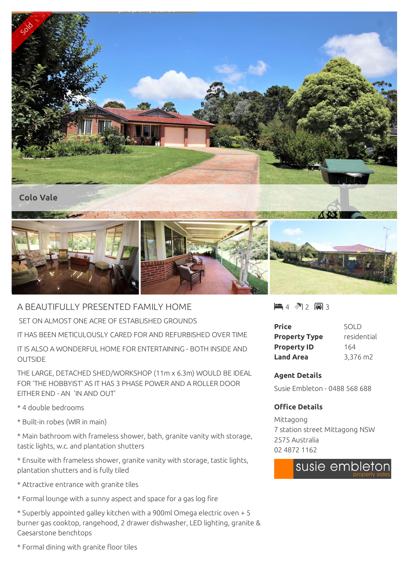

## A BEAUTIFULLY PRESENTED FAMILY HOME

SET ON ALMOST ONE ACRE OF ESTABLISHED GROUNDS

IT HAS BEEN METICULOUSLY CARED FOR AND REFURBISHED OVER TIME

IT IS ALSO A WONDERFUL HOME FOR ENTERTAINING - BOTH INSIDE AND OUTSIDE

THE LARGE, DETACHED SHED/WORKSHOP (11m x 6.3m) WOULD BE IDEAL FOR 'THE HOBBYIST' AS IT HAS 3 PHASE POWER AND A ROLLER DOOR EITHER END - AN 'IN AND OUT'

\* 4 double bedrooms

\* Built-in robes (WIR in main)

\* Main bathroom with frameless shower, bath, granite vanity with storage, tastic lights, w.c. and plantation shutters

\* Ensuite with frameless shower, granite vanity with storage, tastic lights, plantation shutters and is fully tiled

\* Attractive entrance with granite tiles

\* Formal lounge with a sunny aspect and space for a gas log fire

\* Superbly appointed galley kitchen with a 900ml Omega electric oven + 5 burner gas cooktop, rangehood, 2 drawer dishwasher, LED lighting, granite & Caesarstone benchtops

 $4 \,$  (4)  $\sqrt{2}$  (最) 3

| Price                | SOLD        |
|----------------------|-------------|
| <b>Property Type</b> | residential |
| <b>Property ID</b>   | 164         |
| Land Area            | 3,376 m2    |

## **Agent Details**

Susie Embleton - 0488 568 688

## **Office Details**

Mittagong 7 station street Mittagong NSW 2575 Australia 02 4872 1162



\* Formal dining with granite floor tiles